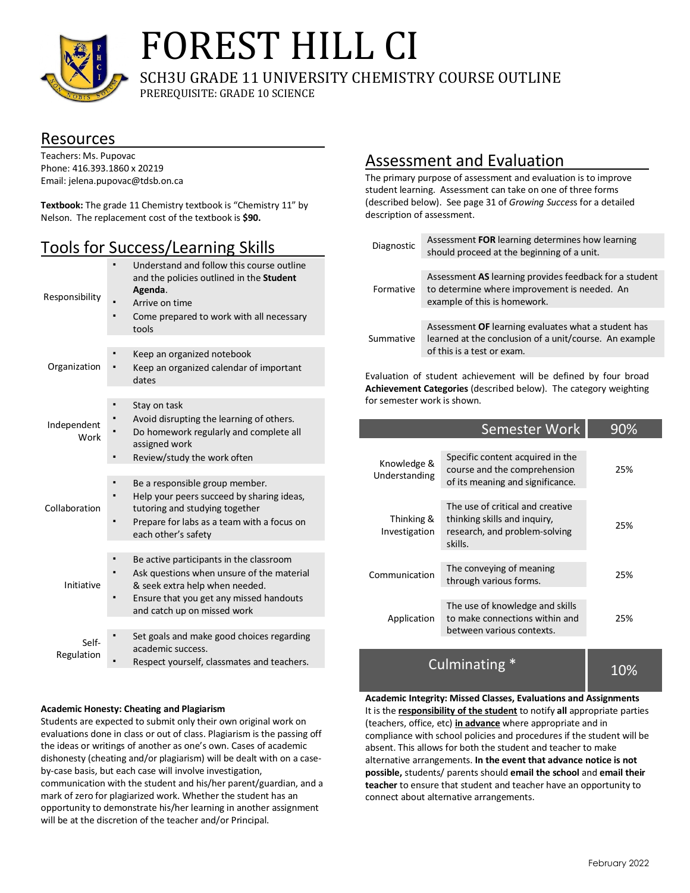

# FOREST HILL CI

SCH3U GRADE 11 UNIVERSITY CHEMISTRY COURSE OUTLINE

PREREQUISITE: GRADE 10 SCIENCE

### Resources

Teachers: Ms. Pupovac Phone: 416.393.1860 x 20219 Email: jelena.pupovac@tdsb.on.ca

**Textbook:** The grade 11 Chemistry textbook is "Chemistry 11" by Nelson. The replacement cost of the textbook is **\$90.**

## Tools for Success/Learning Skills

| Responsibility      | Understand and follow this course outline<br>and the policies outlined in the Student<br>Agenda.<br>Arrive on time<br>Come prepared to work with all necessary<br>tools                          |
|---------------------|--------------------------------------------------------------------------------------------------------------------------------------------------------------------------------------------------|
| Organization        | Keep an organized notebook<br>Keep an organized calendar of important<br>dates                                                                                                                   |
| Independent<br>Work | Stay on task<br>Avoid disrupting the learning of others.<br>Do homework regularly and complete all<br>assigned work<br>Review/study the work often                                               |
| Collaboration       | Be a responsible group member.<br>Help your peers succeed by sharing ideas,<br>tutoring and studying together<br>Prepare for labs as a team with a focus on<br>each other's safety               |
| Initiative          | Be active participants in the classroom<br>Ask questions when unsure of the material<br>& seek extra help when needed.<br>Ensure that you get any missed handouts<br>and catch up on missed work |
| Self-<br>Regulation | Set goals and make good choices regarding<br>academic success.<br>Respect yourself, classmates and teachers.                                                                                     |

#### **Academic Honesty: Cheating and Plagiarism**

Students are expected to submit only their own original work on evaluations done in class or out of class. Plagiarism is the passing off the ideas or writings of another as one's own. Cases of academic dishonesty (cheating and/or plagiarism) will be dealt with on a caseby-case basis, but each case will involve investigation, communication with the student and his/her parent/guardian, and a mark of zero for plagiarized work. Whether the student has an opportunity to demonstrate his/her learning in another assignment will be at the discretion of the teacher and/or Principal.

## Assessment and Evaluation

The primary purpose of assessment and evaluation is to improve student learning. Assessment can take on one of three forms (described below). See page 31 of *Growing Succes*s for a detailed description of assessment.

| Diagnostic | Assessment FOR learning determines how learning<br>should proceed at the beginning of a unit.                                               |
|------------|---------------------------------------------------------------------------------------------------------------------------------------------|
|            |                                                                                                                                             |
| Formative  | Assessment AS learning provides feedback for a student<br>to determine where improvement is needed. An<br>example of this is homework.      |
|            |                                                                                                                                             |
| Summative  | Assessment OF learning evaluates what a student has<br>learned at the conclusion of a unit/course. An example<br>of this is a test or exam. |
|            |                                                                                                                                             |

Evaluation of student achievement will be defined by four broad **Achievement Categories** (described below). The category weighting for semester work is shown.

|                              | Semester Work                                                                                                | 90% |
|------------------------------|--------------------------------------------------------------------------------------------------------------|-----|
| Knowledge &<br>Understanding | Specific content acquired in the<br>course and the comprehension<br>of its meaning and significance.         | 25% |
| Thinking &<br>Investigation  | The use of critical and creative<br>thinking skills and inquiry,<br>research, and problem-solving<br>skills. | 25% |
| Communication                | The conveying of meaning<br>through various forms.                                                           | 25% |
| Application                  | The use of knowledge and skills<br>to make connections within and<br>between various contexts.               | 25% |
|                              |                                                                                                              |     |

**Culminating** 10%

**Academic Integrity: Missed Classes, Evaluations and Assignments** It is the **responsibility of the student** to notify **all** appropriate parties (teachers, office, etc) **in advance** where appropriate and in compliance with school policies and procedures if the student will be absent. This allows for both the student and teacher to make alternative arrangements. **In the event that advance notice is not possible,** students/ parents should **email the school** and **email their teacher** to ensure that student and teacher have an opportunity to connect about alternative arrangements.